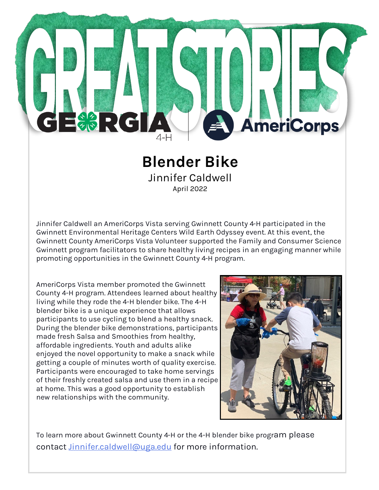## $\Box_{\mathscr{C}\left(\mathscr{C}\right)}^{\mathscr{C}\left(\mathscr{C}\right)}$  ,  $\setminus$   $\subset$ **AmeriCorps**

## **Blender Bike** Jinnifer Caldwell

April 2022

Jinnifer Caldwell an AmeriCorps Vista serving Gwinnett County 4-H participated in the Gwinnett Environmental Heritage Centers Wild Earth Odyssey event. At this event, the Gwinnett County AmeriCorps Vista Volunteer supported the Family and Consumer Science Gwinnett program facilitators to share healthy living recipes in an engaging manner while promoting opportunities in the Gwinnett County 4-H program.

AmeriCorps Vista member promoted the Gwinnett County 4-H program. Attendees learned about healthy living while they rode the 4-H blender bike. The 4-H blender bike is a unique experience that allows participants to use cycling to blend a healthy snack. During the blender bike demonstrations, participants made fresh Salsa and Smoothies from healthy, affordable ingredients. Youth and adults alike enjoyed the novel opportunity to make a snack while getting a couple of minutes worth of quality exercise. Participants were encouraged to take home servings of their freshly created salsa and use them in a recipe at home. This was a good opportunity to establish new relationships with the community.



To learn more about Gwinnett County 4-H or the 4-H blender bike program please contact [Jinnifer.caldwell@uga.edu](mailto:Jinnifer.caldwell@uga.edu) for more information.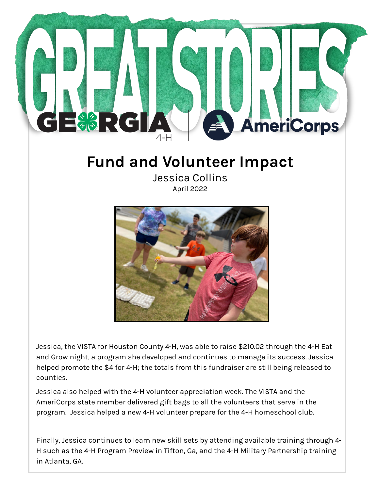

## **Fund and Volunteer Impact**

Jessica Collins April 2022



Jessica, the VISTA for Houston County 4-H, was able to raise \$210.02 through the 4-H Eat and Grow night, a program she developed and continues to manage its success. Jessica helped promote the \$4 for 4-H; the totals from this fundraiser are still being released to counties.

Jessica also helped with the 4-H volunteer appreciation week. The VISTA and the AmeriCorps state member delivered gift bags to all the volunteers that serve in the program. Jessica helped a new 4-H volunteer prepare for the 4-H homeschool club.

Finally, Jessica continues to learn new skill sets by attending available training through 4- H such as the 4-H Program Preview in Tifton, Ga, and the 4-H Military Partnership training in Atlanta, GA.